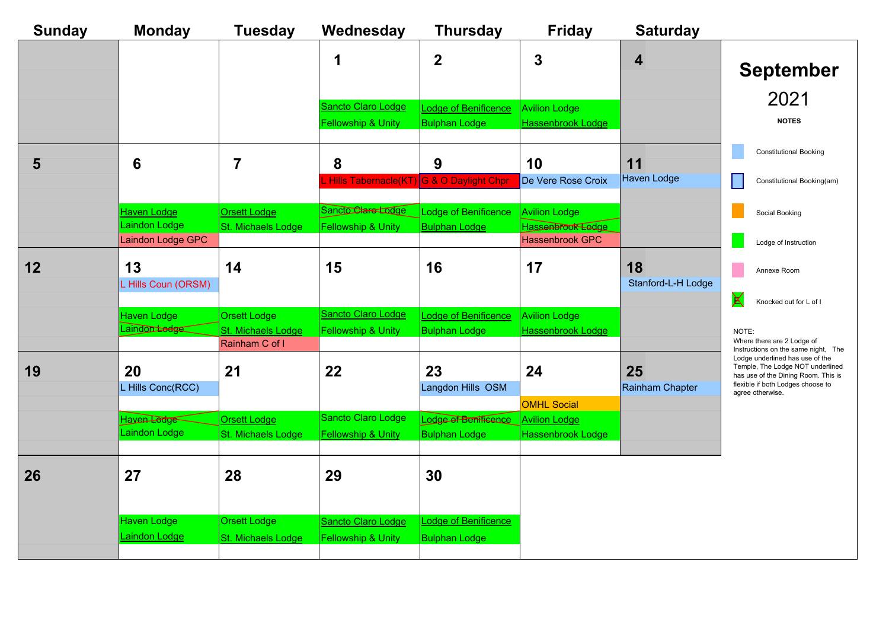| <b>Sunday</b> | <b>Monday</b>                           | <b>Tuesday</b>                            | Wednesday                                | <b>Thursday</b>                              | <b>Friday</b>                             | <b>Saturday</b>    |                                                                                              |
|---------------|-----------------------------------------|-------------------------------------------|------------------------------------------|----------------------------------------------|-------------------------------------------|--------------------|----------------------------------------------------------------------------------------------|
|               |                                         |                                           | 1                                        | $\mathbf 2$                                  | 3                                         | 4                  | <b>September</b>                                                                             |
|               |                                         |                                           | Sancto Claro Lodge                       | Lodge of Benificence                         | <b>Avilion Lodge</b>                      |                    | 2021                                                                                         |
|               |                                         |                                           | <b>Fellowship &amp; Unity</b>            | <b>Bulphan Lodge</b>                         | Hassenbrook Lodge                         |                    | <b>NOTES</b>                                                                                 |
|               |                                         |                                           |                                          |                                              |                                           |                    |                                                                                              |
| 5             | 6                                       | $\overline{7}$                            | 8                                        | 9                                            | 10                                        | 11                 | <b>Constitutional Booking</b>                                                                |
|               |                                         |                                           | Hills Tabernacle(KT) G & O Daylight Chpr |                                              | De Vere Rose Croix                        | <b>Haven Lodge</b> | Constitutional Booking(am)                                                                   |
|               |                                         |                                           |                                          |                                              |                                           |                    |                                                                                              |
|               | <b>Haven Lodge</b><br>Laindon Lodge     | <b>Orsett Lodge</b>                       | Sancto Clare Lodge                       | Lodge of Benificence                         | <b>Avilion Lodge</b>                      |                    | Social Booking                                                                               |
|               | Laindon Lodge GPC                       | St. Michaels Lodge                        | <b>Fellowship &amp; Unity</b>            | <b>Bulphan Lodge</b>                         | Hassenbrook Ledge<br>Hassenbrook GPC      |                    | Lodge of Instruction                                                                         |
| 12            | 13                                      | 14                                        | 15                                       | 16                                           | 17                                        | 18                 | Annexe Room                                                                                  |
|               | L Hills Coun (ORSM)                     |                                           |                                          |                                              |                                           | Stanford-L-H Lodge |                                                                                              |
|               |                                         |                                           | <b>Sancto Claro Lodge</b>                |                                              |                                           |                    | X<br>Knocked out for L of I                                                                  |
|               | Haven Lodge<br>Laindon <del>Ladge</del> | <b>Orsett Lodge</b><br>St. Michaels Lodge | <b>Fellowship &amp; Unity</b>            | Lodge of Benificence<br><b>Bulphan Lodge</b> | <b>Avilion Lodge</b><br>Hassenbrook Lodge |                    | NOTE:                                                                                        |
|               |                                         | Rainham C of I                            |                                          |                                              |                                           |                    | Where there are 2 Lodge of<br>Instructions on the same night, The                            |
| 19            | 20                                      | 21                                        | 22                                       | 23                                           | 24                                        | 25                 | Lodge underlined has use of the<br>Temple, The Lodge NOT underlined                          |
|               | L Hills Conc(RCC)                       |                                           |                                          | Langdon Hills OSM                            |                                           | Rainham Chapter    | has use of the Dining Room. This is<br>flexible if both Lodges choose to<br>agree otherwise. |
|               |                                         |                                           |                                          |                                              | <b>OMHL Social</b>                        |                    |                                                                                              |
|               | Haven Lodge<br>Laindon Lodge            | <b>Orsett Lodge</b>                       | Sancto Claro Lodge                       | Lodge of Benificence                         | <b>Avilion Lodge</b>                      |                    |                                                                                              |
|               |                                         | St. Michaels Lodge                        | <b>Fellowship &amp; Unity</b>            | <b>Bulphan Lodge</b>                         | Hassenbrook Lodge                         |                    |                                                                                              |
|               |                                         |                                           |                                          |                                              |                                           |                    |                                                                                              |
| 26            | 27                                      | 28                                        | 29                                       | 30                                           |                                           |                    |                                                                                              |
|               |                                         |                                           |                                          |                                              |                                           |                    |                                                                                              |
|               | Haven Lodge                             | <b>Orsett Lodge</b>                       | Sancto Claro Lodge                       | Lodge of Benificence                         |                                           |                    |                                                                                              |
|               | aindon Lodge                            | <b>St. Michaels Lodge</b>                 | <b>Fellowship &amp; Unity</b>            | <b>Bulphan Lodge</b>                         |                                           |                    |                                                                                              |
|               |                                         |                                           |                                          |                                              |                                           |                    |                                                                                              |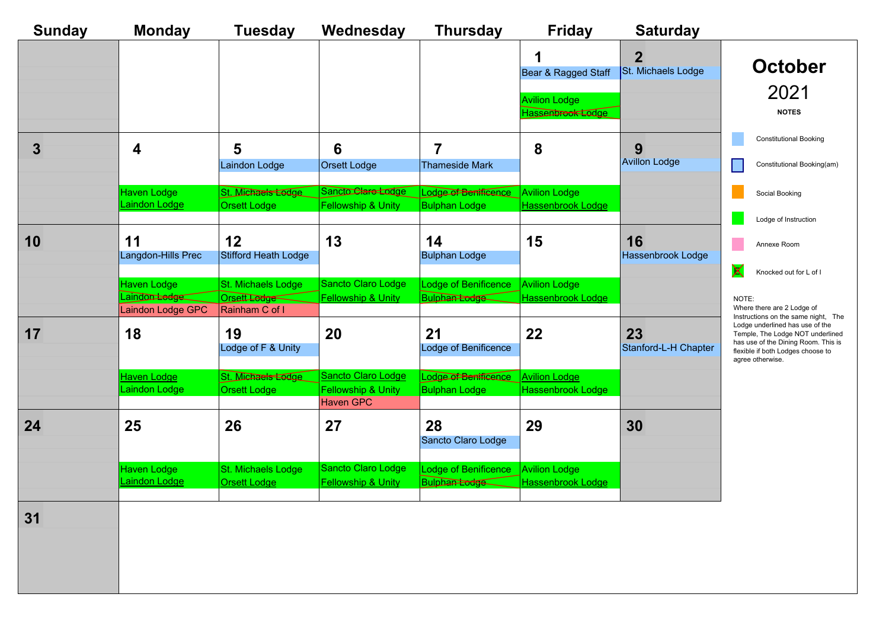| <b>Sunday</b> | <b>Monday</b>                      | <b>Tuesday</b>                            | Wednesday                                         | <b>Thursday</b>                                  | <b>Friday</b>                             | <b>Saturday</b>                      |                                                                                                                                                                                                            |
|---------------|------------------------------------|-------------------------------------------|---------------------------------------------------|--------------------------------------------------|-------------------------------------------|--------------------------------------|------------------------------------------------------------------------------------------------------------------------------------------------------------------------------------------------------------|
|               |                                    |                                           |                                                   |                                                  | 1<br>Bear & Ragged Staff                  | $\overline{2}$<br>St. Michaels Lodge | <b>October</b><br>2021                                                                                                                                                                                     |
|               |                                    |                                           |                                                   |                                                  | <b>Avilion Lodge</b><br>Hassenbrook Lodge |                                      | <b>NOTES</b>                                                                                                                                                                                               |
| $\mathbf{3}$  | 4                                  | 5<br>Laindon Lodge                        | $6\phantom{1}$<br><b>Orsett Lodge</b>             | $\overline{7}$<br><b>Thameside Mark</b>          | 8                                         | 9<br><b>Avillon Lodge</b>            | <b>Constitutional Booking</b><br>Constitutional Booking(am)                                                                                                                                                |
|               |                                    |                                           |                                                   |                                                  |                                           |                                      |                                                                                                                                                                                                            |
|               | Haven Lodge<br>Laindon Lodge       | St. Michaels Lodge<br><b>Orsett Lodge</b> | Sancto Clare Lodge<br>Fellowship & Unity          | Lodge of Benificance<br><b>Bulphan Lodge</b>     | <b>Avilion Lodge</b><br>Hassenbrook Lodge |                                      | Social Booking                                                                                                                                                                                             |
|               |                                    |                                           |                                                   |                                                  |                                           |                                      | Lodge of Instruction                                                                                                                                                                                       |
| 10            | 11<br>Langdon-Hills Prec           | 12<br><b>Stifford Heath Lodge</b>         | 13                                                | 14<br><b>Bulphan Lodge</b>                       | 15                                        | 16<br><b>Hassenbrook Lodge</b>       | Annexe Room                                                                                                                                                                                                |
|               | Haven Lodge                        | St. Michaels Lodge                        | Sancto Claro Lodge                                | Lodge of Benificence                             | <b>Avilion Lodge</b>                      |                                      | X<br>Knocked out for L of I                                                                                                                                                                                |
|               | Laindon Ledge<br>Laindon Lodge GPC | Orsett Ledge<br>Rainham C of I            | <b>Fellowship &amp; Unity</b>                     | Bulphan <del>Lodge</del>                         | <b>Hassenbrook Lodge</b>                  |                                      | NOTE:<br>Where there are 2 Lodge of                                                                                                                                                                        |
| 17            | 18                                 | 19<br>Lodge of F & Unity                  | 20                                                | 21<br>Lodge of Benificence                       | 22                                        | 23<br>Stanford-L-H Chapter           | Instructions on the same night, The<br>Lodge underlined has use of the<br>Temple, The Lodge NOT underlined<br>has use of the Dining Room. This is<br>flexible if both Lodges choose to<br>agree otherwise. |
|               | Haven Lodge                        | St. Michaels Ledge                        | Sancto Claro Lodge                                | Lodge of Benificance                             | <b>Avilion Lodge</b>                      |                                      |                                                                                                                                                                                                            |
|               | Laindon Lodge                      | Orsett Lodge                              | <b>Fellowship &amp; Unity</b><br><b>Haven GPC</b> | <b>Bulphan Lodge</b>                             | <b>Hassenbrook Lodge</b>                  |                                      |                                                                                                                                                                                                            |
| 24            | 25                                 | 26                                        | 27                                                | 28<br>Sancto Claro Lodge                         | 29                                        | 30                                   |                                                                                                                                                                                                            |
|               | Haven Lodge<br>Laindon Lodge       | St. Michaels Lodge<br><b>Orsett Lodge</b> | Sancto Claro Lodge<br>Fellowship & Unity          | Lodge of Benificence<br>Bulphan <del>Lodge</del> | <b>Avilion Lodge</b><br>Hassenbrook Lodge |                                      |                                                                                                                                                                                                            |
| 31            |                                    |                                           |                                                   |                                                  |                                           |                                      |                                                                                                                                                                                                            |
|               |                                    |                                           |                                                   |                                                  |                                           |                                      |                                                                                                                                                                                                            |
|               |                                    |                                           |                                                   |                                                  |                                           |                                      |                                                                                                                                                                                                            |
|               |                                    |                                           |                                                   |                                                  |                                           |                                      |                                                                                                                                                                                                            |
|               |                                    |                                           |                                                   |                                                  |                                           |                                      |                                                                                                                                                                                                            |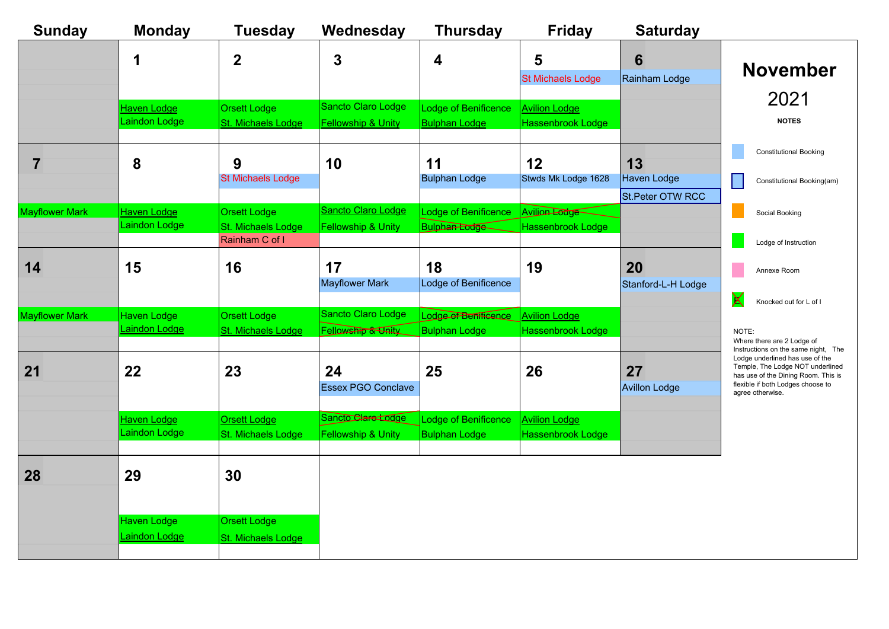| <b>Sunday</b>         | <b>Monday</b>                       | <b>Tuesday</b>                                              | Wednesday                                           | <b>Thursday</b>                                     | <b>Friday</b>                                    | <b>Saturday</b>                              |                                                                                                                                                                     |
|-----------------------|-------------------------------------|-------------------------------------------------------------|-----------------------------------------------------|-----------------------------------------------------|--------------------------------------------------|----------------------------------------------|---------------------------------------------------------------------------------------------------------------------------------------------------------------------|
|                       | 1                                   | $\overline{2}$                                              | 3                                                   | $\overline{\mathbf{4}}$                             | 5<br><b>St Michaels Lodge</b>                    | 6<br>Rainham Lodge                           | <b>November</b>                                                                                                                                                     |
|                       | <b>Haven Lodge</b><br>Laindon Lodge | <b>Orsett Lodge</b><br>St. Michaels Lodge                   | Sancto Claro Lodge<br><b>Fellowship &amp; Unity</b> | <b>Lodge of Benificence</b><br><b>Bulphan Lodge</b> | <b>Avilion Lodge</b><br><b>Hassenbrook Lodge</b> |                                              | 2021<br><b>NOTES</b>                                                                                                                                                |
| $\overline{7}$        | 8                                   | 9<br><b>St Michaels Lodge</b>                               | 10                                                  | 11<br><b>Bulphan Lodge</b>                          | 12<br>Stwds Mk Lodge 1628                        | 13<br><b>Haven Lodge</b><br>St.Peter OTW RCC | <b>Constitutional Booking</b><br>Constitutional Booking(am)                                                                                                         |
| <b>Mayflower Mark</b> | <b>Haven Lodge</b><br>Laindon Lodge | <b>Orsett Lodge</b><br>St. Michaels Lodge<br>Rainham C of I | Sancto Claro Lodge<br>Fellowship & Unity            | Lodge of Benificence<br><b>Bulphan Lodge</b>        | Avilion Lodge<br><b>Hassenbrook Lodge</b>        |                                              | Social Booking<br>Lodge of Instruction                                                                                                                              |
| 14                    | 15                                  | 16                                                          | 17<br><b>Mayflower Mark</b>                         | 18<br>Lodge of Benificence                          | 19                                               | 20<br>Stanford-L-H Lodge                     | Annexe Room<br>$\mathsf{X}$<br>Knocked out for L of I                                                                                                               |
| <b>Mayflower Mark</b> | <b>Haven Lodge</b><br>Laindon Lodge | <b>Orsett Lodge</b><br>St. Michaels Lodge                   | Sancto Claro Lodge<br>Fellowship & Unity            | Lodge of Benificence<br><b>Bulphan Lodge</b>        | <b>Avilion Lodge</b><br><b>Hassenbrook Lodge</b> |                                              | NOTE:<br>Where there are 2 Lodge of<br>Instructions on the same night, The                                                                                          |
| 21                    | 22                                  | 23                                                          | 24<br><b>Essex PGO Conclave</b>                     | 25                                                  | 26                                               | 27<br><b>Avillon Lodge</b>                   | Lodge underlined has use of the<br>Temple, The Lodge NOT underlined<br>has use of the Dining Room. This is<br>flexible if both Lodges choose to<br>agree otherwise. |
|                       | Haven Lodge<br>Laindon Lodge        | <b>Orsett Lodge</b><br>St. Michaels Lodge                   | Sancto Clare Lodge<br>Fellowship & Unity            | <b>Lodge of Benificence</b><br><b>Bulphan Lodge</b> | <b>Avilion Lodge</b><br>Hassenbrook Lodge        |                                              |                                                                                                                                                                     |
| 28                    | 29                                  | 30                                                          |                                                     |                                                     |                                                  |                                              |                                                                                                                                                                     |
|                       | Haven Lodge<br><b>Laindon Lodge</b> | <b>Orsett Lodge</b><br>St. Michaels Lodge                   |                                                     |                                                     |                                                  |                                              |                                                                                                                                                                     |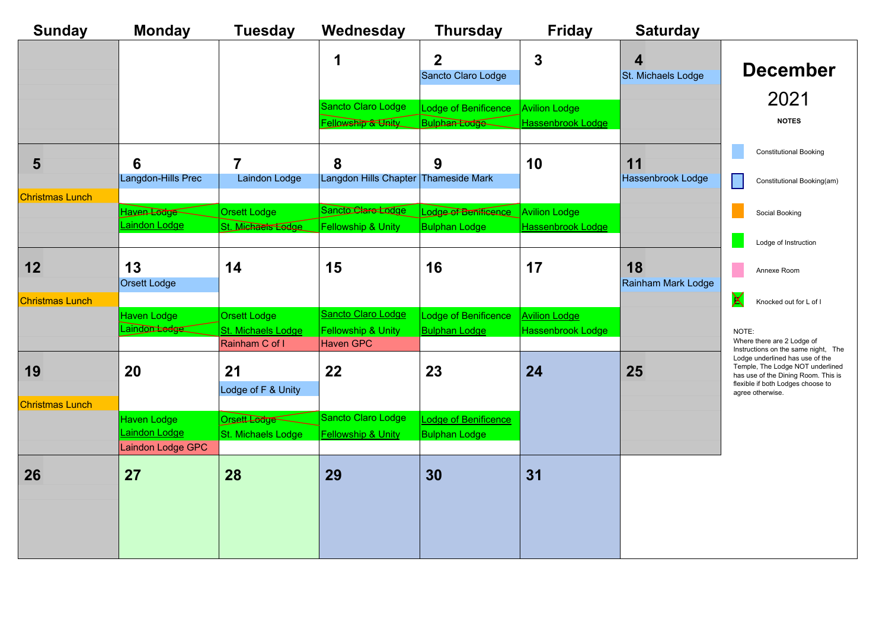| <b>Sunday</b>          | <b>Monday</b>                           | <b>Tuesday</b>                            | Wednesday                                           | <b>Thursday</b>                                            | <b>Friday</b>            | <b>Saturday</b>                               |                                                                                                                                                                     |
|------------------------|-----------------------------------------|-------------------------------------------|-----------------------------------------------------|------------------------------------------------------------|--------------------------|-----------------------------------------------|---------------------------------------------------------------------------------------------------------------------------------------------------------------------|
|                        |                                         |                                           | 1                                                   | $\overline{2}$<br>Sancto Claro Lodge                       | 3                        | $\overline{\mathbf{4}}$<br>St. Michaels Lodge | <b>December</b>                                                                                                                                                     |
|                        |                                         |                                           | Sancto Claro Lodge                                  | Lodge of Benificence                                       | <b>Avilion Lodge</b>     |                                               | 2021                                                                                                                                                                |
|                        |                                         |                                           | Fellowship & Unity                                  | <b>Bulphan Lodge</b>                                       | <b>Hassenbrook Lodge</b> |                                               | <b>NOTES</b>                                                                                                                                                        |
| 5                      | $6\phantom{1}6$                         | $\overline{7}$                            | 8                                                   | 9                                                          | 10                       | 11                                            | <b>Constitutional Booking</b>                                                                                                                                       |
|                        | Langdon-Hills Prec                      | Laindon Lodge                             | Langdon Hills Chapter Thameside Mark                |                                                            |                          | <b>Hassenbrook Lodge</b>                      | Constitutional Booking(am)                                                                                                                                          |
| Christmas Lunch        |                                         |                                           |                                                     |                                                            |                          |                                               |                                                                                                                                                                     |
|                        | Haven Lodge<br>Laindon Lodge            | <b>Orsett Lodge</b><br>St. Michaels Lodge | Sancto Clare Lodge<br>Fellowship & Unity            | Lodge of Benificence Avilion Lodge<br><b>Bulphan Lodge</b> | Hassenbrook Lodge        |                                               | Social Booking                                                                                                                                                      |
|                        |                                         |                                           |                                                     |                                                            |                          |                                               | Lodge of Instruction                                                                                                                                                |
| 12                     | 13<br>Orsett Lodge                      | 14                                        | 15                                                  | 16                                                         | 17                       | 18<br>Rainham Mark Lodge                      | Annexe Room                                                                                                                                                         |
| <b>Christmas Lunch</b> |                                         |                                           |                                                     |                                                            |                          |                                               | $\sf X$<br>Knocked out for L of I                                                                                                                                   |
|                        | Haven Lodge<br>Laindon <del>Ladge</del> | <b>Orsett Lodge</b>                       | Sancto Claro Lodge                                  | Lodge of Benificence                                       | <b>Avilion Lodge</b>     |                                               |                                                                                                                                                                     |
|                        |                                         | St. Michaels Lodge<br>Rainham C of I      | <b>Fellowship &amp; Unity</b><br><b>Haven GPC</b>   | <b>Bulphan Lodge</b>                                       | Hassenbrook Lodge        |                                               | NOTE:<br>Where there are 2 Lodge of<br>Instructions on the same night, The                                                                                          |
| 19                     | 20                                      | 21<br>Lodge of F & Unity                  | 22                                                  | 23                                                         | 24                       | 25                                            | Lodge underlined has use of the<br>Temple, The Lodge NOT underlined<br>has use of the Dining Room. This is<br>flexible if both Lodges choose to<br>agree otherwise. |
| <b>Christmas Lunch</b> |                                         |                                           |                                                     |                                                            |                          |                                               |                                                                                                                                                                     |
|                        | <b>Haven Lodge</b><br>Laindon Lodge     | Orsett Lodge<br>St. Michaels Lodge        | Sancto Claro Lodge<br><b>Fellowship &amp; Unity</b> | Lodge of Benificence<br><b>Bulphan Lodge</b>               |                          |                                               |                                                                                                                                                                     |
|                        | Laindon Lodge GPC                       |                                           |                                                     |                                                            |                          |                                               |                                                                                                                                                                     |
| 26                     | 27                                      | 28                                        | 29                                                  | 30                                                         | 31                       |                                               |                                                                                                                                                                     |
|                        |                                         |                                           |                                                     |                                                            |                          |                                               |                                                                                                                                                                     |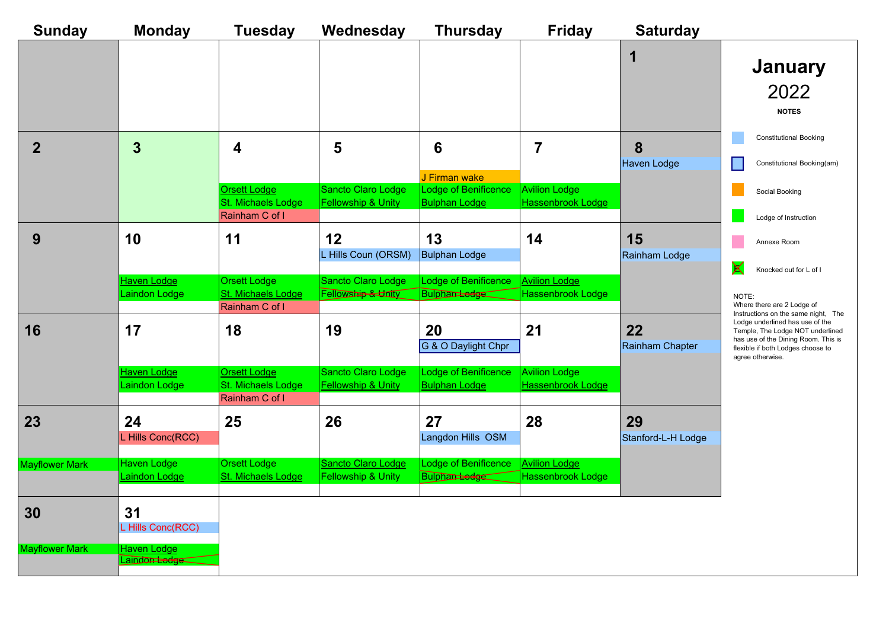| <b>Sunday</b>         | <b>Monday</b>                                  | <b>Tuesday</b>                                              | Wednesday                                           | <b>Thursday</b>                              | <b>Friday</b>                                    | <b>Saturday</b>          |                                                                                                                                                                     |
|-----------------------|------------------------------------------------|-------------------------------------------------------------|-----------------------------------------------------|----------------------------------------------|--------------------------------------------------|--------------------------|---------------------------------------------------------------------------------------------------------------------------------------------------------------------|
|                       |                                                |                                                             |                                                     |                                              |                                                  | 1                        | <b>January</b><br>2022<br><b>NOTES</b>                                                                                                                              |
| $\overline{2}$        | $\overline{3}$                                 | 4                                                           | 5                                                   | 6<br>J Firman wake                           | $\overline{7}$                                   | 8<br>Haven Lodge         | <b>Constitutional Booking</b><br>Constitutional Booking(am)                                                                                                         |
|                       |                                                | <b>Orsett Lodge</b><br>St. Michaels Lodge<br>Rainham C of I | Sancto Claro Lodge<br><b>Fellowship &amp; Unity</b> | Lodge of Benificence<br><b>Bulphan Lodge</b> | <b>Avilion Lodge</b><br>Hassenbrook Lodge        |                          | Social Booking<br>Lodge of Instruction                                                                                                                              |
| 9                     | 10                                             | 11                                                          | 12<br>L Hills Coun (ORSM)                           | 13<br><b>Bulphan Lodge</b>                   | 14                                               | 15<br>Rainham Lodge      | Annexe Room<br>$\bm{\mathsf{X}}$<br>Knocked out for L of I                                                                                                          |
|                       | Haven Lodge<br>Laindon Lodge                   | <b>Orsett Lodge</b><br>St. Michaels Lodge<br>Rainham C of I | Sancto Claro Lodge<br>Fellowship & Unity            | Lodge of Benificence<br><b>Bulphan Ledge</b> | <b>Avilion Lodge</b><br><b>Hassenbrook Lodge</b> |                          | NOTE:<br>Where there are 2 Lodge of<br>Instructions on the same night, The                                                                                          |
| 16                    | 17                                             | 18                                                          | 19                                                  | 20<br>G & O Daylight Chpr                    | 21                                               | 22<br>Rainham Chapter    | Lodge underlined has use of the<br>Temple, The Lodge NOT underlined<br>has use of the Dining Room. This is<br>flexible if both Lodges choose to<br>agree otherwise. |
|                       | Haven Lodge<br>Laindon Lodge                   | <b>Orsett Lodge</b><br>St. Michaels Lodge<br>Rainham C of I | Sancto Claro Lodge<br><b>Fellowship &amp; Unity</b> | Lodge of Benificence<br><b>Bulphan Lodge</b> | <b>Avilion Lodge</b><br><b>Hassenbrook Lodge</b> |                          |                                                                                                                                                                     |
| 23                    | 24<br>L Hills Conc(RCC)                        | 25                                                          | 26                                                  | 27<br>Langdon Hills OSM                      | 28                                               | 29<br>Stanford-L-H Lodge |                                                                                                                                                                     |
| <b>Mayflower Mark</b> | <b>Haven Lodge</b><br>Laindon Lodge            | <b>Orsett Lodge</b><br>St. Michaels Lodge                   | Sancto Claro Lodge<br>Fellowship & Unity            | Lodge of Benificence<br><b>Bulphantedge</b>  | <b>Avilion Lodge</b><br>Hassenbrook Lodge        |                          |                                                                                                                                                                     |
| 30                    | 31<br>L Hills Conc(RCC)                        |                                                             |                                                     |                                              |                                                  |                          |                                                                                                                                                                     |
| <b>Mayflower Mark</b> | <b>Haven Lodge</b><br>Laindon <del>Lodge</del> |                                                             |                                                     |                                              |                                                  |                          |                                                                                                                                                                     |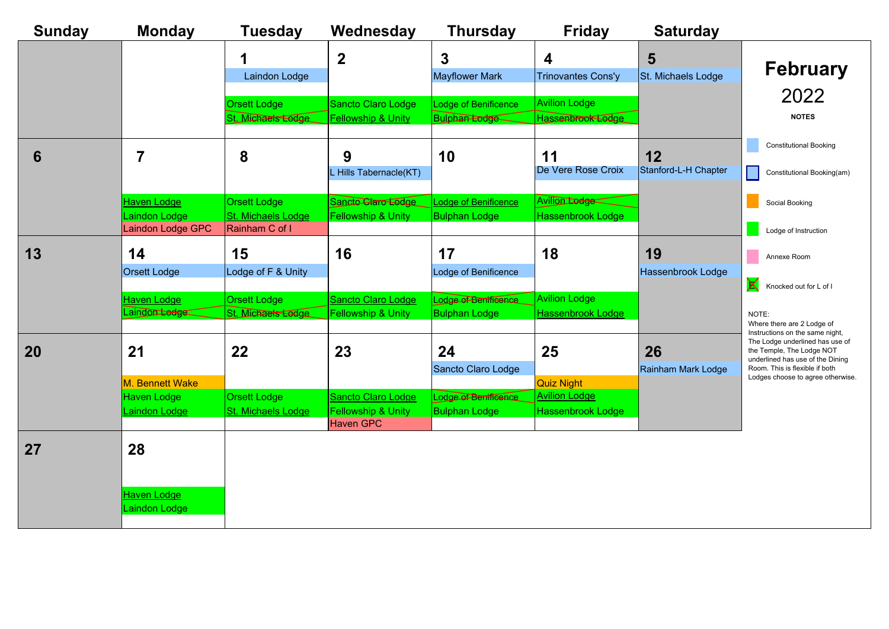| <b>Sunday</b> | <b>Monday</b>                                            | <b>Tuesday</b>                                              | Wednesday                                                    | <b>Thursday</b>                              | <b>Friday</b>                                                         | <b>Saturday</b>            |                                                                                                                                                                         |
|---------------|----------------------------------------------------------|-------------------------------------------------------------|--------------------------------------------------------------|----------------------------------------------|-----------------------------------------------------------------------|----------------------------|-------------------------------------------------------------------------------------------------------------------------------------------------------------------------|
|               |                                                          | Laindon Lodge                                               | $\overline{\mathbf{2}}$                                      | $\overline{3}$<br><b>Mayflower Mark</b>      | 4<br><b>Trinovantes Cons'y</b>                                        | 5<br>St. Michaels Lodge    | <b>February</b>                                                                                                                                                         |
|               |                                                          | <b>Orsett Lodge</b><br>St. Michaels Lodge                   | <b>Sancto Claro Lodge</b><br><b>Fellowship &amp; Unity</b>   | Lodge of Benificence<br><b>Bulphan Eodge</b> | <b>Avilion Lodge</b><br>Hassenbrook Lodge                             |                            | 2022<br><b>NOTES</b>                                                                                                                                                    |
| 6             | $\overline{7}$                                           | 8                                                           | 9<br>L Hills Tabernacle(KT)                                  | 10                                           | 11<br>De Vere Rose Croix                                              | 12<br>Stanford-L-H Chapter | <b>Constitutional Booking</b><br>Constitutional Booking(am)                                                                                                             |
|               | <b>Haven Lodge</b><br>Laindon Lodge<br>Laindon Lodge GPC | <b>Orsett Lodge</b><br>St. Michaels Lodge<br>Rainham C of I | Sancto Claro Ledge<br><b>Fellowship &amp; Unity</b>          | Lodge of Benificence<br><b>Bulphan Lodge</b> | <b>Avilion Lodge</b><br><b>Hassenbrook Lodge</b>                      |                            | Social Booking<br>Lodge of Instruction                                                                                                                                  |
| 13            | 14<br><b>Orsett Lodge</b>                                | 15<br>Lodge of F & Unity                                    | 16                                                           | 17<br>Lodge of Benificence                   | 18                                                                    | 19<br>Hassenbrook Lodge    | Annexe Room<br>X<br>Knocked out for L of I                                                                                                                              |
|               | <b>Haven Lodge</b><br>Laindontedge                       | <b>Orsett Lodge</b><br>St. Michaels Lodge                   | <b>Sancto Claro Lodge</b><br>Fellowship & Unity              | Lodge of Benificence<br><b>Bulphan Lodge</b> | <b>Avilion Lodge</b><br>Hassenbrook Lodge                             |                            | NOTE:<br>Where there are 2 Lodge of<br>Instructions on the same night,                                                                                                  |
| 20            | 21                                                       | 22                                                          | 23                                                           | 24<br>Sancto Claro Lodge                     | 25                                                                    | 26<br>Rainham Mark Lodge   | The Lodge underlined has use of<br>the Temple, The Lodge NOT<br>underlined has use of the Dining<br>Room. This is flexible if both<br>Lodges choose to agree otherwise. |
|               | M. Bennett Wake<br><b>Haven Lodge</b><br>Laindon Lodge   | <b>Orsett Lodge</b><br>St. Michaels Lodge                   | Sancto Claro Lodge<br>Fellowship & Unity<br><b>Haven GPC</b> | Lodge of Benificence<br><b>Bulphan Lodge</b> | <b>Quiz Night</b><br><b>Avilion Lodge</b><br><b>Hassenbrook Lodge</b> |                            |                                                                                                                                                                         |
| 27            | 28                                                       |                                                             |                                                              |                                              |                                                                       |                            |                                                                                                                                                                         |
|               | <b>Haven Lodge</b><br>Laindon Lodge                      |                                                             |                                                              |                                              |                                                                       |                            |                                                                                                                                                                         |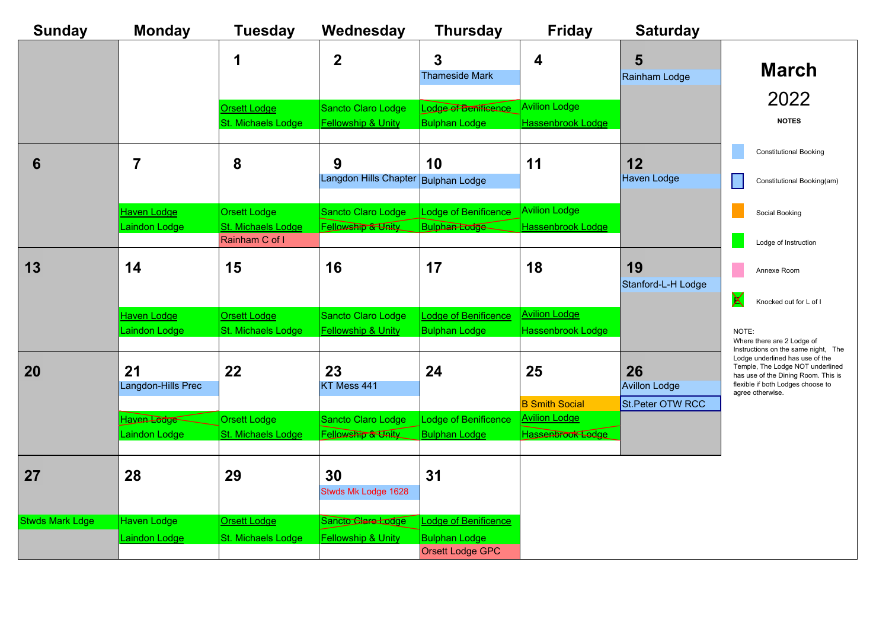| <b>Sunday</b>          | <b>Monday</b>                       | <b>Tuesday</b>                                              | Wednesday                                           | <b>Thursday</b>                                                  | <b>Friday</b>                                                      | <b>Saturday</b>            |                                                                                                                                                                     |
|------------------------|-------------------------------------|-------------------------------------------------------------|-----------------------------------------------------|------------------------------------------------------------------|--------------------------------------------------------------------|----------------------------|---------------------------------------------------------------------------------------------------------------------------------------------------------------------|
|                        |                                     | 1                                                           | $\overline{2}$                                      | 3<br><b>Thameside Mark</b>                                       | $\overline{\mathbf{4}}$                                            | 5<br>Rainham Lodge         | <b>March</b>                                                                                                                                                        |
|                        |                                     | <b>Orsett Lodge</b><br>St. Michaels Lodge                   | Sancto Claro Lodge<br><b>Fellowship &amp; Unity</b> | Lodge of Benificence<br><b>Bulphan Lodge</b>                     | <b>Avilion Lodge</b><br><b>Hassenbrook Lodge</b>                   |                            | 2022<br><b>NOTES</b>                                                                                                                                                |
| 6                      | $\overline{7}$                      | 8                                                           | 9<br>Langdon Hills Chapter Bulphan Lodge            | 10                                                               | 11                                                                 | 12<br><b>Haven Lodge</b>   | <b>Constitutional Booking</b><br>Constitutional Booking(am)                                                                                                         |
|                        | <b>Haven Lodge</b><br>Laindon Lodge | <b>Orsett Lodge</b><br>St. Michaels Lodge<br>Rainham C of I | Sancto Claro Lodge<br>Fellowship & Unity            | Lodge of Benificence<br>Bulphan Lodge                            | <b>Avilion Lodge</b><br>Hassenbrook Lodge                          |                            | Social Booking<br>Lodge of Instruction                                                                                                                              |
| 13                     | 14                                  | 15                                                          | 16                                                  | 17                                                               | 18                                                                 | 19<br>Stanford-L-H Lodge   | Annexe Room<br>X                                                                                                                                                    |
|                        | <b>Haven Lodge</b><br>Laindon Lodge | <b>Orsett Lodge</b><br>St. Michaels Lodge                   | Sancto Claro Lodge<br><b>Fellowship &amp; Unity</b> | Lodge of Benificence<br><b>Bulphan Lodge</b>                     | <b>Avilion Lodge</b><br>Hassenbrook Lodge                          |                            | Knocked out for L of I<br>NOTE:<br>Where there are 2 Lodge of<br>Instructions on the same night, The                                                                |
| 20                     | 21<br>Langdon-Hills Prec            | 22                                                          | 23<br>KT Mess 441                                   | 24                                                               | 25                                                                 | 26<br><b>Avillon Lodge</b> | Lodge underlined has use of the<br>Temple, The Lodge NOT underlined<br>has use of the Dining Room. This is<br>flexible if both Lodges choose to<br>agree otherwise. |
|                        | Haven Lodge<br>Laindon Lodge        | <b>Orsett Lodge</b><br>St. Michaels Lodge                   | Sancto Claro Lodge<br>Fellowship & Unity            | Lodge of Benificence<br><b>Bulphan Lodge</b>                     | <b>B</b> Smith Social<br><b>Avilion Lodge</b><br>Hassenbrook Lodge | <b>St.Peter OTW RCC</b>    |                                                                                                                                                                     |
| 27                     | 28                                  | 29                                                          | 30<br>Stwds Mk Lodge 1628                           | 31                                                               |                                                                    |                            |                                                                                                                                                                     |
| <b>Stwds Mark Ldge</b> | Haven Lodge<br>Laindon Lodge        | <b>Orsett Lodge</b><br>St. Michaels Lodge                   | Sancto Clare Lodge<br><b>Fellowship &amp; Unity</b> | Lodge of Benificence<br><b>Bulphan Lodge</b><br>Orsett Lodge GPC |                                                                    |                            |                                                                                                                                                                     |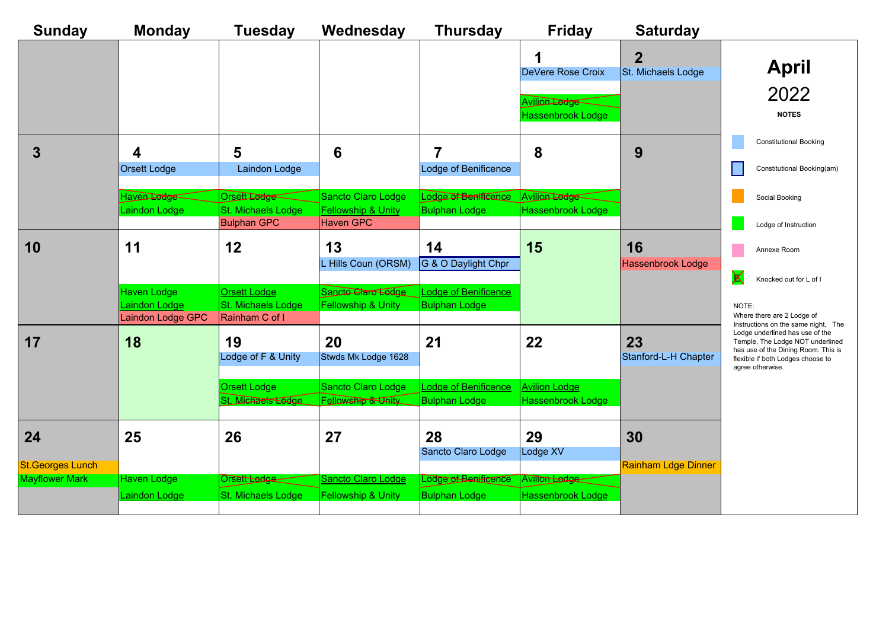| <b>Sunday</b>                 | <b>Monday</b>                                     | <b>Tuesday</b>                                              | Wednesday                                                               | <b>Thursday</b>                              | <b>Friday</b>                                                       | <b>Saturday</b>                      |                                                                                                                                                                     |
|-------------------------------|---------------------------------------------------|-------------------------------------------------------------|-------------------------------------------------------------------------|----------------------------------------------|---------------------------------------------------------------------|--------------------------------------|---------------------------------------------------------------------------------------------------------------------------------------------------------------------|
|                               |                                                   |                                                             |                                                                         |                                              | 1<br>DeVere Rose Croix<br>Avilion Lodge<br><b>Hassenbrook Lodge</b> | $\overline{2}$<br>St. Michaels Lodge | <b>April</b><br>2022<br><b>NOTES</b>                                                                                                                                |
| 3                             | $\overline{\mathbf{4}}$<br>Orsett Lodge           | 5<br>Laindon Lodge                                          | $6\phantom{1}6$                                                         | 7<br>Lodge of Benificence                    | 8                                                                   | 9                                    | <b>Constitutional Booking</b><br>Constitutional Booking(am)                                                                                                         |
|                               | Haven Lodge<br>Laindon Lodge                      | Orsett Ledge<br>St. Michaels Lodge<br><b>Bulphan GPC</b>    | Sancto Claro Lodge<br><b>Fellowship &amp; Unity</b><br><b>Haven GPC</b> | Lodge of Benificance<br><b>Bulphan Lodge</b> | Avilion Lodge<br>Hassenbrook Lodge                                  |                                      | Social Booking<br>Lodge of Instruction                                                                                                                              |
| 10                            | 11                                                | 12                                                          | 13<br>L Hills Coun (ORSM)                                               | 14<br>G & O Daylight Chpr                    | 15                                                                  | 16<br>Hassenbrook Lodge              | Annexe Room<br>X<br>Knocked out for L of I                                                                                                                          |
|                               | Haven Lodge<br>Laindon Lodge<br>Laindon Lodge GPC | <b>Orsett Lodge</b><br>St. Michaels Lodge<br>Rainham C of I | Sancto Claro Lodge<br><b>Fellowship &amp; Unity</b>                     | Lodge of Benificence<br><b>Bulphan Lodge</b> |                                                                     |                                      | NOTE:<br>Where there are 2 Lodge of<br>Instructions on the same night, The                                                                                          |
| 17                            | 18                                                | 19<br>Lodge of F & Unity                                    | 20<br>Stwds Mk Lodge 1628                                               | 21                                           | 22                                                                  | 23<br>Stanford-L-H Chapter           | Lodge underlined has use of the<br>Temple, The Lodge NOT underlined<br>has use of the Dining Room. This is<br>flexible if both Lodges choose to<br>agree otherwise. |
|                               |                                                   | <b>Orsett Lodge</b><br>St. Michaels Lodge                   | Sancto Claro Lodge<br><b>Fellowship &amp; Unity</b>                     | Lodge of Benificence<br><b>Bulphan Lodge</b> | <b>Avilion Lodge</b><br><b>Hassenbrook Lodge</b>                    |                                      |                                                                                                                                                                     |
| 24<br><b>St.Georges Lunch</b> | 25                                                | 26                                                          | 27                                                                      | 28<br>Sancto Claro Lodge                     | 29<br>Lodge XV                                                      | 30<br><b>Rainham Ldge Dinner</b>     |                                                                                                                                                                     |
| <b>Mayflower Mark</b>         | <b>Haven Lodge</b>                                | Orsett Lodge                                                | Sancto Claro Lodge                                                      | Lodge of Benificance                         | Avilion Ledge                                                       |                                      |                                                                                                                                                                     |
|                               | <b>Laindon Lodge</b>                              | St. Michaels Lodge                                          | <b>Fellowship &amp; Unity</b>                                           | <b>Bulphan Lodge</b>                         | <b>Hassenbrook Lodge</b>                                            |                                      |                                                                                                                                                                     |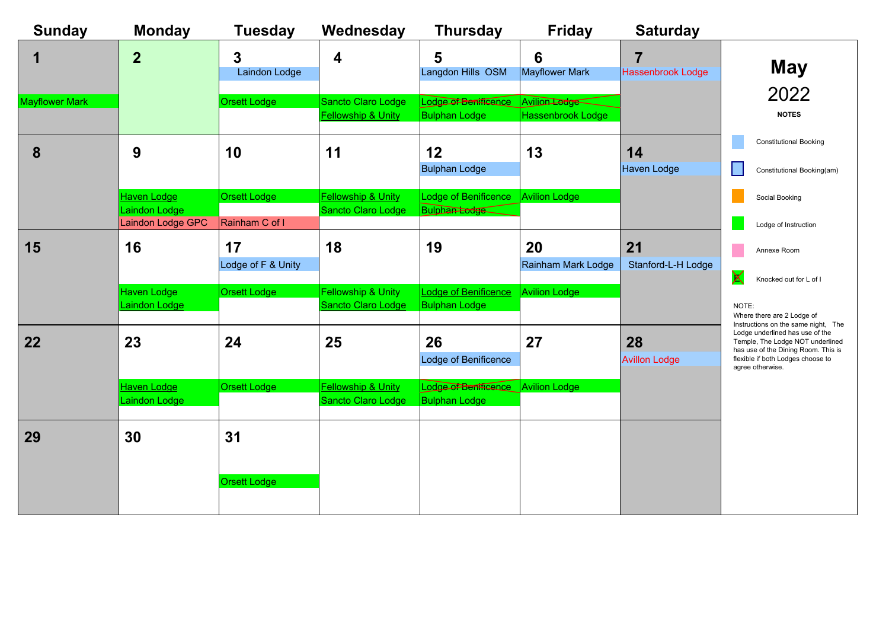| <b>Sunday</b>         | <b>Monday</b>                                     | <b>Tuesday</b>                        | Wednesday                                           | <b>Thursday</b>                                            | <b>Friday</b>                      | <b>Saturday</b>                            |                                                                                                                                                                     |
|-----------------------|---------------------------------------------------|---------------------------------------|-----------------------------------------------------|------------------------------------------------------------|------------------------------------|--------------------------------------------|---------------------------------------------------------------------------------------------------------------------------------------------------------------------|
| 1                     | $\overline{2}$                                    | 3<br>Laindon Lodge                    | $\boldsymbol{4}$                                    | 5<br>Langdon Hills OSM                                     | 6<br><b>Mayflower Mark</b>         | $\overline{7}$<br><b>Hassenbrook Lodge</b> | <b>May</b><br>2022                                                                                                                                                  |
| <b>Mayflower Mark</b> |                                                   | Orsett Lodge                          | Sancto Claro Lodge<br><b>Fellowship &amp; Unity</b> | Lodge of Bentficence<br><b>Bulphan Lodge</b>               | Avilion Lodge<br>Hassenbrook Lodge |                                            | <b>NOTES</b>                                                                                                                                                        |
| 8                     | 9                                                 | 10                                    | 11                                                  | 12<br><b>Bulphan Lodge</b>                                 | 13                                 | 14<br>Haven Lodge                          | <b>Constitutional Booking</b><br>Constitutional Booking(am)                                                                                                         |
|                       | Haven Lodge<br>Laindon Lodge<br>Laindon Lodge GPC | <b>Orsett Lodge</b><br>Rainham C of I | <b>Fellowship &amp; Unity</b><br>Sancto Claro Lodge | Lodge of Benificence<br><b>Bulphan Fodge</b>               | <b>Avilion Lodge</b>               |                                            | Social Booking<br>Lodge of Instruction                                                                                                                              |
| 15                    | 16                                                | 17<br>Lodge of F & Unity              | 18                                                  | 19                                                         | 20<br>Rainham Mark Lodge           | 21<br>Stanford-L-H Lodge                   | Annexe Room<br>X<br>Knocked out for L of I                                                                                                                          |
|                       | Haven Lodge<br>Laindon Lodge                      | Orsett Lodge                          | Fellowship & Unity<br>Sancto Claro Lodge            | Lodge of Benificence<br><b>Bulphan Lodge</b>               | <b>Avilion Lodge</b>               |                                            | NOTE:<br>Where there are 2 Lodge of<br>Instructions on the same night, The                                                                                          |
| 22                    | 23                                                | 24                                    | 25                                                  | 26<br>Lodge of Benificence                                 | 27                                 | 28<br><b>Avillon Lodge</b>                 | Lodge underlined has use of the<br>Temple, The Lodge NOT underlined<br>has use of the Dining Room. This is<br>flexible if both Lodges choose to<br>agree otherwise. |
|                       | <b>Haven Lodge</b><br>Laindon Lodge               | <b>Orsett Lodge</b>                   | <b>Fellowship &amp; Unity</b><br>Sancto Claro Lodge | Lodge of Benificance Avilion Lodge<br><b>Bulphan Lodge</b> |                                    |                                            |                                                                                                                                                                     |
| 29                    | 30                                                | 31                                    |                                                     |                                                            |                                    |                                            |                                                                                                                                                                     |
|                       |                                                   | <b>Orsett Lodge</b>                   |                                                     |                                                            |                                    |                                            |                                                                                                                                                                     |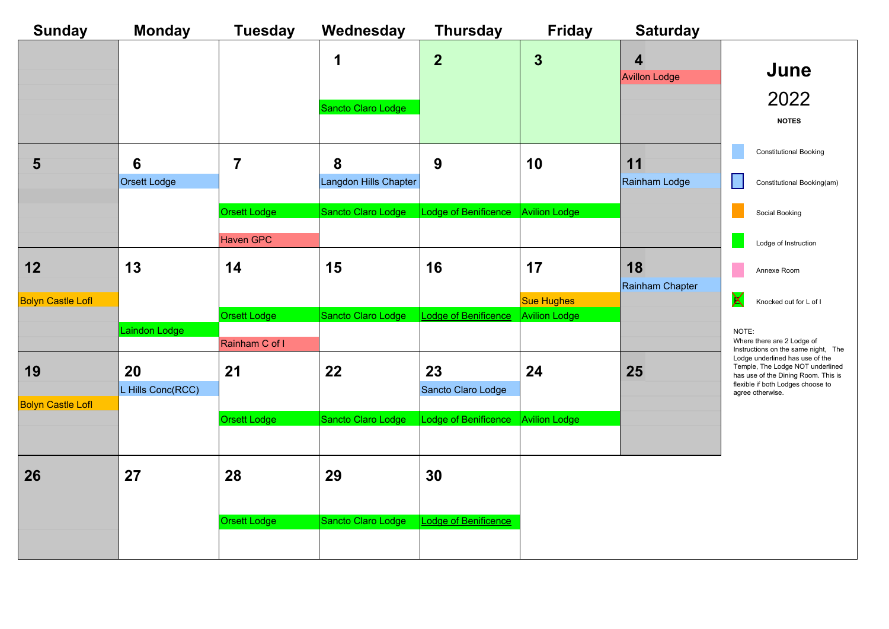| <b>Sunday</b>            | <b>Monday</b>                   | <b>Tuesday</b>         | Wednesday                  | <b>Thursday</b>          | <b>Friday</b>                             | <b>Saturday</b>                                 |                                                                                                                                                                     |
|--------------------------|---------------------------------|------------------------|----------------------------|--------------------------|-------------------------------------------|-------------------------------------------------|---------------------------------------------------------------------------------------------------------------------------------------------------------------------|
|                          |                                 |                        | 1                          | $\overline{2}$           | $\mathbf{3}$                              | $\overline{\mathbf{4}}$<br><b>Avillon Lodge</b> | June                                                                                                                                                                |
|                          |                                 |                        | Sancto Claro Lodge         |                          |                                           |                                                 | 2022<br><b>NOTES</b>                                                                                                                                                |
| 5                        | $6\phantom{1}6$<br>Orsett Lodge | $\overline{7}$         | 8<br>Langdon Hills Chapter | 9                        | 10                                        | 11<br>Rainham Lodge                             | <b>Constitutional Booking</b><br>Constitutional Booking(am)                                                                                                         |
|                          |                                 | <b>Orsett Lodge</b>    | Sancto Claro Lodge         | Lodge of Benificence     | Avilion Lodge                             |                                                 | Social Booking                                                                                                                                                      |
| 12                       | 13                              | <b>Haven GPC</b><br>14 | 15                         | 16                       | 17                                        | 18<br>Rainham Chapter                           | Lodge of Instruction<br>Annexe Room                                                                                                                                 |
| <b>Bolyn Castle Lofl</b> |                                 | <b>Orsett Lodge</b>    | Sancto Claro Lodge         | Lodge of Benificence     | <b>Sue Hughes</b><br><b>Avilion Lodge</b> |                                                 | X<br>Knocked out for L of I                                                                                                                                         |
|                          | Laindon Lodge                   | Rainham C of I         |                            |                          |                                           |                                                 | NOTE:<br>Where there are 2 Lodge of<br>Instructions on the same night, The                                                                                          |
| 19                       | 20<br>L Hills Conc(RCC)         | 21                     | 22                         | 23<br>Sancto Claro Lodge | 24                                        | 25                                              | Lodge underlined has use of the<br>Temple, The Lodge NOT underlined<br>has use of the Dining Room. This is<br>flexible if both Lodges choose to<br>agree otherwise. |
| <b>Bolyn Castle Lofl</b> |                                 | <b>Orsett Lodge</b>    | Sancto Claro Lodge         | Lodge of Benificence     | <b>Avilion Lodge</b>                      |                                                 |                                                                                                                                                                     |
| 26                       | 27                              | 28                     | 29                         | 30                       |                                           |                                                 |                                                                                                                                                                     |
|                          |                                 | <b>Orsett Lodge</b>    | Sancto Claro Lodge         | Lodge of Benificence     |                                           |                                                 |                                                                                                                                                                     |
|                          |                                 |                        |                            |                          |                                           |                                                 |                                                                                                                                                                     |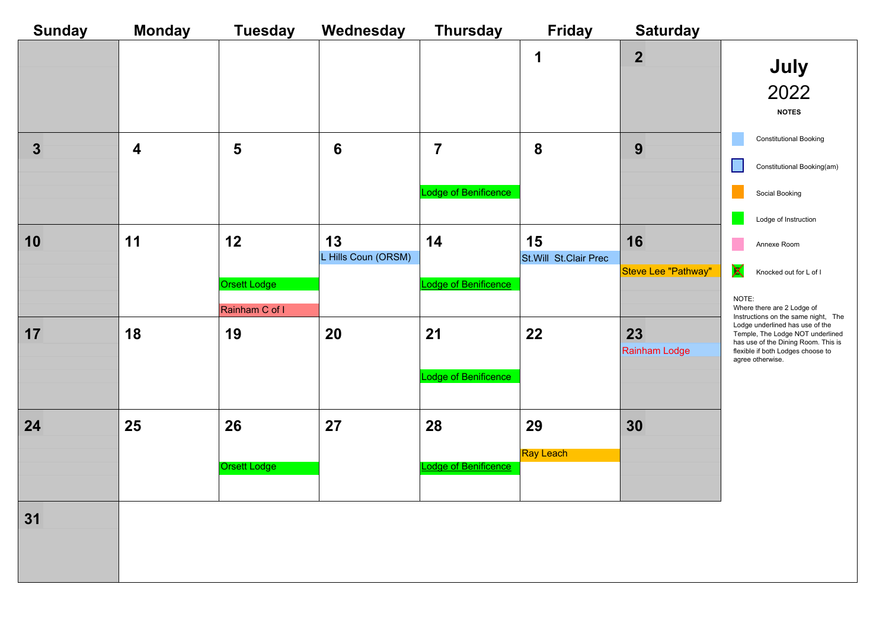| <b>Sunday</b> | <b>Monday</b>    | <b>Tuesday</b>                       | Wednesday                 | <b>Thursday</b>                        | <b>Friday</b>               | <b>Saturday</b>           |                                                                                                                                                                                                            |
|---------------|------------------|--------------------------------------|---------------------------|----------------------------------------|-----------------------------|---------------------------|------------------------------------------------------------------------------------------------------------------------------------------------------------------------------------------------------------|
|               |                  |                                      |                           |                                        | 1                           | $\overline{2}$            | July<br>2022<br><b>NOTES</b>                                                                                                                                                                               |
| 3             | $\boldsymbol{4}$ | 5                                    | $6\phantom{1}$            | $\overline{7}$<br>Lodge of Benificence | 8                           | 9                         | <b>Constitutional Booking</b><br>Constitutional Booking(am)<br>$\mathbf{I}$<br>Social Booking<br>Lodge of Instruction                                                                                      |
| 10            | 11               | 12<br>Orsett Lodge<br>Rainham C of I | 13<br>L Hills Coun (ORSM) | 14<br>Lodge of Benificence             | 15<br>St.Will St.Clair Prec | 16<br>Steve Lee "Pathway" | Annexe Room<br>X<br>Knocked out for L of I<br>NOTE:<br>Where there are 2 Lodge of                                                                                                                          |
| 17            | 18               | 19                                   | 20                        | 21<br>Lodge of Benificence             | 22                          | 23<br>Rainham Lodge       | Instructions on the same night, The<br>Lodge underlined has use of the<br>Temple, The Lodge NOT underlined<br>has use of the Dining Room. This is<br>flexible if both Lodges choose to<br>agree otherwise. |
| 24            | 25               | 26<br><b>Orsett Lodge</b>            | 27                        | 28<br>Lodge of Benificence             | 29<br><b>Ray Leach</b>      | 30                        |                                                                                                                                                                                                            |
| 31            |                  |                                      |                           |                                        |                             |                           |                                                                                                                                                                                                            |